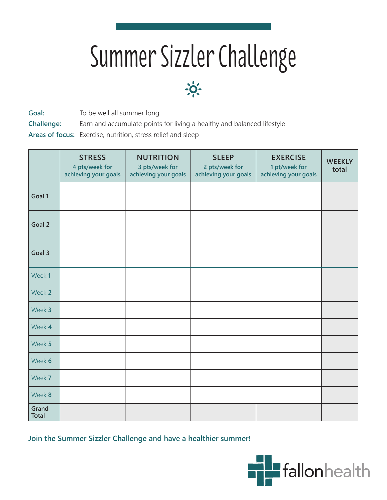## Summer Sizzler Challenge



Goal: To be well all summer long

**Challenge:** Earn and accumulate points for living a healthy and balanced lifestyle

**Areas of focus:** Exercise, nutrition, stress relief and sleep

|                       | <b>STRESS</b><br>4 pts/week for<br>achieving your goals | <b>NUTRITION</b><br>3 pts/week for<br>achieving your goals | <b>SLEEP</b><br>2 pts/week for<br>achieving your goals | <b>EXERCISE</b><br>1 pt/week for<br>achieving your goals | <b>WEEKLY</b><br>total |
|-----------------------|---------------------------------------------------------|------------------------------------------------------------|--------------------------------------------------------|----------------------------------------------------------|------------------------|
| Goal 1                |                                                         |                                                            |                                                        |                                                          |                        |
| Goal 2                |                                                         |                                                            |                                                        |                                                          |                        |
| Goal 3                |                                                         |                                                            |                                                        |                                                          |                        |
| Week 1                |                                                         |                                                            |                                                        |                                                          |                        |
| Week 2                |                                                         |                                                            |                                                        |                                                          |                        |
| Week 3                |                                                         |                                                            |                                                        |                                                          |                        |
| Week 4                |                                                         |                                                            |                                                        |                                                          |                        |
| Week 5                |                                                         |                                                            |                                                        |                                                          |                        |
| Week 6                |                                                         |                                                            |                                                        |                                                          |                        |
| Week 7                |                                                         |                                                            |                                                        |                                                          |                        |
| Week 8                |                                                         |                                                            |                                                        |                                                          |                        |
| Grand<br><b>Total</b> |                                                         |                                                            |                                                        |                                                          |                        |

**Join the Summer Sizzler Challenge and have a healthier summer!**